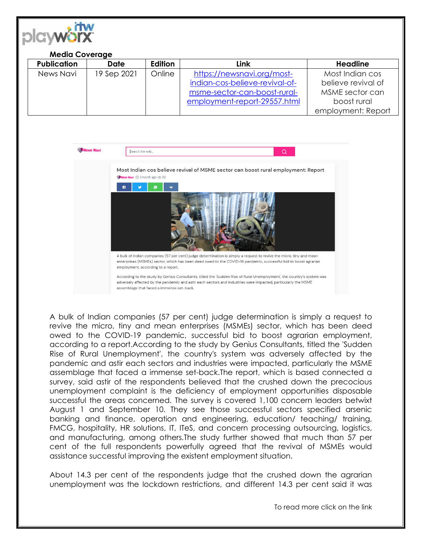

## **Media Coverage**

| <b>Publication</b> | Date        | Edition | Link                           | <b>Headline</b>    |
|--------------------|-------------|---------|--------------------------------|--------------------|
| News Navi          | 19 Sep 2021 | Online  | https://newsnavi.org/most-     | Most Indian cos    |
|                    |             |         | indian-cos-believe-revival-of- | believe revival of |
|                    |             |         | msme-sector-can-boost-rural-   | MSME sector can    |
|                    |             |         | employment-report-29557.html   | boost rural        |
|                    |             |         |                                | employment: Report |



A bulk of Indian companies (57 per cent) judge determination is simply a request to revive the micro, tiny and mean enterprises (MSMEs) sector, which has been deed owed to the COVID-19 pandemic, successful bid to boost agrarian employment, according to a report.According to the study by Genius Consultants, titled the 'Sudden Rise of Rural Unemployment', the country's system was adversely affected by the pandemic and astir each sectors and industries were impacted, particularly the MSME assemblage that faced a immense set-back.The report, which is based connected a survey, said astir of the respondents believed that the crushed down the precocious unemployment complaint is the deficiency of employment opportunities disposable successful the areas concerned. The survey is covered 1,100 concern leaders betwixt August 1 and September 10. They see those successful sectors specified arsenic banking and finance, operation and engineering, education/ teaching/ training, FMCG, hospitality, HR solutions, IT, ITeS, and concern processing outsourcing, logistics, and manufacturing, among others.The study further showed that much than 57 per cent of the full respondents powerfully agreed that the revival of MSMEs would assistance successful improving the existent employment situation.

About 14.3 per cent of the respondents judge that the crushed down the agrarian unemployment was the lockdown restrictions, and different 14.3 per cent said it was

To read more click on the link